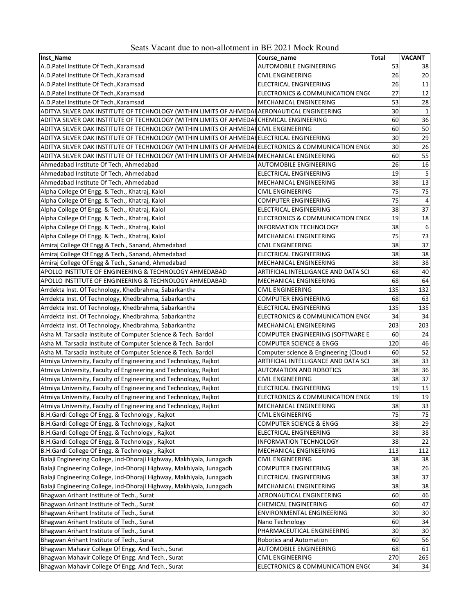| Seats Vacant due to non-allotment in BE 2021 Mock Round |
|---------------------------------------------------------|
|---------------------------------------------------------|

| Inst Name                                                                                           | Course_name                           | <b>Total</b> | <b>VACANT</b>   |
|-----------------------------------------------------------------------------------------------------|---------------------------------------|--------------|-----------------|
| A.D.Patel Institute Of Tech., Karamsad                                                              | <b>AUTOMOBILE ENGINEERING</b>         | 53           | 38              |
| A.D.Patel Institute Of Tech., Karamsad                                                              | <b>CIVIL ENGINEERING</b>              | 26           | 20              |
| A.D.Patel Institute Of Tech., Karamsad                                                              | ELECTRICAL ENGINEERING                | 26           | 11              |
| A.D.Patel Institute Of Tech., Karamsad                                                              | ELECTRONICS & COMMUNICATION ENGO      | 27           | 12              |
| A.D.Patel Institute Of Tech., Karamsad                                                              | MECHANICAL ENGINEERING                | 53           | 28              |
| ADITYA SILVER OAK INSTITUTE OF TECHNOLOGY (WITHIN LIMITS OF AHMEDAI AERONAUTICAL ENGINEERING        |                                       | 30           | 1               |
| ADITYA SILVER OAK INSTITUTE OF TECHNOLOGY (WITHIN LIMITS OF AHMEDAI CHEMICAL ENGINEERING            |                                       | 60           | 36              |
| ADITYA SILVER OAK INSTITUTE OF TECHNOLOGY (WITHIN LIMITS OF AHMEDAICIVIL ENGINEERING                |                                       | 60           | 50              |
| ADITYA SILVER OAK INSTITUTE OF TECHNOLOGY (WITHIN LIMITS OF AHMEDA ELECTRICAL ENGINEERING           |                                       | 30           | $\overline{29}$ |
| ADITYA SILVER OAK INSTITUTE OF TECHNOLOGY (WITHIN LIMITS OF AHMEDA(ELECTRONICS & COMMUNICATION ENG) |                                       | 30           | $\overline{26}$ |
| ADITYA SILVER OAK INSTITUTE OF TECHNOLOGY (WITHIN LIMITS OF AHMEDA MECHANICAL ENGINEERING           |                                       | 60           | 55              |
| Ahmedabad Institute Of Tech, Ahmedabad                                                              | <b>AUTOMOBILE ENGINEERING</b>         | 26           | 16              |
| Ahmedabad Institute Of Tech, Ahmedabad                                                              | ELECTRICAL ENGINEERING                | 19           | 5               |
| Ahmedabad Institute Of Tech, Ahmedabad                                                              | MECHANICAL ENGINEERING                | 38           | $\overline{13}$ |
| Alpha College Of Engg. & Tech., Khatraj, Kalol                                                      | <b>CIVIL ENGINEERING</b>              | 75           | 75              |
| Alpha College Of Engg. & Tech., Khatraj, Kalol                                                      | <b>COMPUTER ENGINEERING</b>           | 75           | $\overline{4}$  |
| Alpha College Of Engg. & Tech., Khatraj, Kalol                                                      | <b>ELECTRICAL ENGINEERING</b>         | 38           | 37              |
| Alpha College Of Engg. & Tech., Khatraj, Kalol                                                      | ELECTRONICS & COMMUNICATION ENGO      | 19           | 18              |
| Alpha College Of Engg. & Tech., Khatraj, Kalol                                                      | <b>INFORMATION TECHNOLOGY</b>         | 38           | 6               |
| Alpha College Of Engg. & Tech., Khatraj, Kalol                                                      | MECHANICAL ENGINEERING                | 75           | 73              |
| Amiraj College Of Engg & Tech., Sanand, Ahmedabad                                                   | <b>CIVIL ENGINEERING</b>              | 38           | 37              |
| Amiraj College Of Engg & Tech., Sanand, Ahmedabad                                                   | ELECTRICAL ENGINEERING                | 38           | 38              |
| Amiraj College Of Engg & Tech., Sanand, Ahmedabad                                                   | MECHANICAL ENGINEERING                | 38           | 38              |
| APOLLO INSTITUTE OF ENGINEERING & TECHNOLOGY AHMEDABAD                                              | ARTIFICIAL INTELLIGANCE AND DATA SCI  | 68           | 40              |
| APOLLO INSTITUTE OF ENGINEERING & TECHNOLOGY AHMEDABAD                                              | MECHANICAL ENGINEERING                | 68           | 64              |
| Arrdekta Inst. Of Technology, Khedbrahma, Sabarkantha                                               | <b>CIVIL ENGINEERING</b>              | 135          | 132             |
| Arrdekta Inst. Of Technology, Khedbrahma, Sabarkantha                                               | <b>COMPUTER ENGINEERING</b>           | 68           | 63              |
| Arrdekta Inst. Of Technology, Khedbrahma, Sabarkantha                                               | ELECTRICAL ENGINEERING                | 135          | 135             |
| Arrdekta Inst. Of Technology, Khedbrahma, Sabarkantha                                               | ELECTRONICS & COMMUNICATION ENGO      | 34           | 34              |
| Arrdekta Inst. Of Technology, Khedbrahma, Sabarkantha                                               | MECHANICAL ENGINEERING                | 203          | 203             |
| Asha M. Tarsadia Institute of Computer Science & Tech. Bardoli                                      | COMPUTER ENGINEERING (SOFTWARE E      | 60           | 24              |
| Asha M. Tarsadia Institute of Computer Science & Tech. Bardoli                                      | <b>COMPUTER SCIENCE &amp; ENGG</b>    | 120          | 46              |
| Asha M. Tarsadia Institute of Computer Science & Tech. Bardoli                                      | Computer science & Engineering (Cloud | 60           | 52              |
| Atmiya University, Faculty of Engineering and Technology, Rajkot                                    | ARTIFICIAL INTELLIGANCE AND DATA SCI  | 38           | 33              |
| Atmiya University, Faculty of Engineering and Technology, Rajkot                                    | <b>AUTOMATION AND ROBOTICS</b>        | 38           | 36              |
| Atmiya University, Faculty of Engineering and Technology, Rajkot                                    | <b>CIVIL ENGINEERING</b>              | 38           | $\overline{37}$ |
| Atmiya University, Faculty of Engineering and Technology, Rajkot                                    | ELECTRICAL ENGINEERING                | 19           | 15              |
| Atmiya University, Faculty of Engineering and Technology, Rajkot                                    | ELECTRONICS & COMMUNICATION ENGO      | 19           | 19              |
| Atmiya University, Faculty of Engineering and Technology, Rajkot                                    | MECHANICAL ENGINEERING                | 38           | 33              |
| B.H.Gardi College Of Engg. & Technology, Rajkot                                                     | CIVIL ENGINEERING                     | 75           | 75              |
| B.H.Gardi College Of Engg. & Technology, Rajkot                                                     | <b>COMPUTER SCIENCE &amp; ENGG</b>    | 38           | 29              |
| B.H.Gardi College Of Engg. & Technology, Rajkot                                                     | <b>ELECTRICAL ENGINEERING</b>         | 38           | 38              |
| B.H.Gardi College Of Engg. & Technology, Rajkot                                                     | <b>INFORMATION TECHNOLOGY</b>         | 38           | 22              |
| B.H.Gardi College Of Engg. & Technology, Rajkot                                                     | MECHANICAL ENGINEERING                | 113          | 112             |
| Balaji Engineering College, Jnd-Dhoraji Highway, Makhiyala, Junagadh                                | <b>CIVIL ENGINEERING</b>              | 38           | 38              |
| Balaji Engineering College, Jnd-Dhoraji Highway, Makhiyala, Junagadh                                | <b>COMPUTER ENGINEERING</b>           | 38           | 26              |
| Balaji Engineering College, Jnd-Dhoraji Highway, Makhiyala, Junagadh                                | <b>ELECTRICAL ENGINEERING</b>         | 38           | $\overline{37}$ |
| Balaji Engineering College, Jnd-Dhoraji Highway, Makhiyala, Junagadh                                | MECHANICAL ENGINEERING                | 38           | 38              |
| Bhagwan Arihant Institute of Tech., Surat                                                           | AERONAUTICAL ENGINEERING              | 60           | 46              |
| Bhagwan Arihant Institute of Tech., Surat                                                           | <b>CHEMICAL ENGINEERING</b>           | 60           | 47              |
| Bhagwan Arihant Institute of Tech., Surat                                                           | ENVIRONMENTAL ENGINEERING             | 30           | 30              |
| Bhagwan Arihant Institute of Tech., Surat                                                           | Nano Technology                       | 60           | 34              |
| Bhagwan Arihant Institute of Tech., Surat                                                           | PHARMACEUTICAL ENGINEERING            | 30           | 30              |
| Bhagwan Arihant Institute of Tech., Surat                                                           | <b>Robotics and Automation</b>        | 60           | 56              |
| Bhagwan Mahavir College Of Engg. And Tech., Surat                                                   | <b>AUTOMOBILE ENGINEERING</b>         | 68           | 61              |
| Bhagwan Mahavir College Of Engg. And Tech., Surat                                                   | <b>CIVIL ENGINEERING</b>              | 270          | 265             |
| Bhagwan Mahavir College Of Engg. And Tech., Surat                                                   | ELECTRONICS & COMMUNICATION ENGO      | 34           | 34              |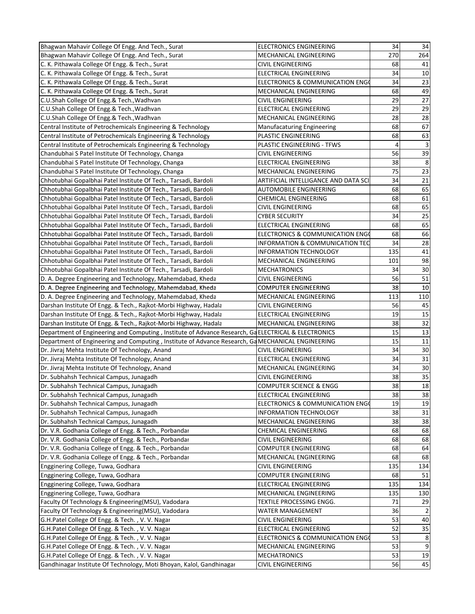| Bhagwan Mahavir College Of Engg. And Tech., Surat                                                                              | <b>ELECTRONICS ENGINEERING</b>       | 34             | 34              |
|--------------------------------------------------------------------------------------------------------------------------------|--------------------------------------|----------------|-----------------|
| Bhagwan Mahavir College Of Engg. And Tech., Surat                                                                              | MECHANICAL ENGINEERING               | 270            | 264             |
| C. K. Pithawala College Of Engg. & Tech., Surat                                                                                | <b>CIVIL ENGINEERING</b>             | 68             | 41              |
| C. K. Pithawala College Of Engg. & Tech., Surat                                                                                | <b>ELECTRICAL ENGINEERING</b>        | 34             | 10              |
| C. K. Pithawala College Of Engg. & Tech., Surat                                                                                | ELECTRONICS & COMMUNICATION ENGO     | 34             | 23              |
| C. K. Pithawala College Of Engg. & Tech., Surat                                                                                | MECHANICAL ENGINEERING               | 68             | 49              |
| C.U.Shah College Of Engg.& Tech., Wadhvan                                                                                      | <b>CIVIL ENGINEERING</b>             | 29             | $\overline{27}$ |
| C.U.Shah College Of Engg.& Tech., Wadhvan                                                                                      | ELECTRICAL ENGINEERING               | 29             | 29              |
| C.U.Shah College Of Engg.& Tech., Wadhvan                                                                                      | MECHANICAL ENGINEERING               | 28             | $\overline{28}$ |
| Central Institute of Petrochemicals Engineering & Technology                                                                   | <b>Manufacaturing Engineering</b>    | 68             | 67              |
| Central Institute of Petrochemicals Engineering & Technology                                                                   | PLASTIC ENGINEERING                  | 68             | 63              |
| Central Institute of Petrochemicals Engineering & Technology                                                                   | PLASTIC ENGINEERING - TFWS           | $\overline{4}$ | 3               |
| Chandubhai S Patel Institute Of Technology, Changa                                                                             | <b>CIVIL ENGINEERING</b>             | 56             | $\overline{39}$ |
| Chandubhai S Patel Institute Of Technology, Changa                                                                             | ELECTRICAL ENGINEERING               | 38             | 8               |
| Chandubhai S Patel Institute Of Technology, Changa                                                                             | MECHANICAL ENGINEERING               | 75             | 23              |
| Chhotubhai Gopalbhai Patel Institute Of Tech., Tarsadi, Bardoli                                                                | ARTIFICIAL INTELLIGANCE AND DATA SCI | 34             | 21              |
| Chhotubhai Gopalbhai Patel Institute Of Tech., Tarsadi, Bardoli                                                                | AUTOMOBILE ENGINEERING               | 68             | 65              |
| Chhotubhai Gopalbhai Patel Institute Of Tech., Tarsadi, Bardoli                                                                | <b>CHEMICAL ENGINEERING</b>          | 68             | 61              |
| Chhotubhai Gopalbhai Patel Institute Of Tech., Tarsadi, Bardoli                                                                | <b>CIVIL ENGINEERING</b>             | 68             | 65              |
| Chhotubhai Gopalbhai Patel Institute Of Tech., Tarsadi, Bardoli                                                                | <b>CYBER SECURITY</b>                | 34             | 25              |
| Chhotubhai Gopalbhai Patel Institute Of Tech., Tarsadi, Bardoli                                                                | <b>ELECTRICAL ENGINEERING</b>        | 68             | 65              |
| Chhotubhai Gopalbhai Patel Institute Of Tech., Tarsadi, Bardoli                                                                | ELECTRONICS & COMMUNICATION ENGO     | 68             | 66              |
| Chhotubhai Gopalbhai Patel Institute Of Tech., Tarsadi, Bardoli                                                                | INFORMATION & COMMUNICATION TEC      | 34             | 28              |
| Chhotubhai Gopalbhai Patel Institute Of Tech., Tarsadi, Bardoli                                                                | <b>INFORMATION TECHNOLOGY</b>        | 135            | 41              |
| Chhotubhai Gopalbhai Patel Institute Of Tech., Tarsadi, Bardoli                                                                | MECHANICAL ENGINEERING               | 101            | 98              |
| Chhotubhai Gopalbhai Patel Institute Of Tech., Tarsadi, Bardoli                                                                | <b>MECHATRONICS</b>                  | 34             | 30              |
| D. A. Degree Engineering and Technology, Mahemdabad, Kheda                                                                     | <b>CIVIL ENGINEERING</b>             | 56             | 51              |
|                                                                                                                                | <b>COMPUTER ENGINEERING</b>          | 38             | 10              |
| D. A. Degree Engineering and Technology, Mahemdabad, Kheda                                                                     | MECHANICAL ENGINEERING               | 113            | 110             |
| D. A. Degree Engineering and Technology, Mahemdabad, Kheda<br>Darshan Institute Of Engg. & Tech., Rajkot-Morbi Highway, Hadala | CIVIL ENGINEERING                    | 56             | 45              |
| Darshan Institute Of Engg. & Tech., Rajkot-Morbi Highway, Hadala                                                               | ELECTRICAL ENGINEERING               | 19             | 15              |
| Darshan Institute Of Engg. & Tech., Rajkot-Morbi Highway, Hadala                                                               | MECHANICAL ENGINEERING               | 38             | 32              |
| Department of Engineering and Computing, Institute of Advance Research, GaELECTRICAL & ELECTRONICS                             |                                      | 15             | 13              |
| Department of Engineering and Computing, Institute of Advance Research, Ga MECHANICAL ENGINEERING                              |                                      | 15             | 11              |
| Dr. Jivraj Mehta Institute Of Technology, Anand                                                                                | <b>CIVIL ENGINEERING</b>             | 34             | 30              |
| Dr. Jivraj Mehta Institute Of Technology, Anand                                                                                | ELECTRICAL ENGINEERING               | 34             | 31              |
| Dr. Jivraj Mehta Institute Of Technology, Anand                                                                                | MECHANICAL ENGINEERING               | 34             | 30              |
| Dr. Subhahsh Technical Campus, Junagadh                                                                                        | <b>CIVIL ENGINEERING</b>             | 38             | $\overline{35}$ |
| Dr. Subhahsh Technical Campus, Junagadh                                                                                        | <b>COMPUTER SCIENCE &amp; ENGG</b>   | 38             | 18              |
| Dr. Subhahsh Technical Campus, Junagadh                                                                                        | <b>ELECTRICAL ENGINEERING</b>        | 38             | 38              |
| Dr. Subhahsh Technical Campus, Junagadh                                                                                        | ELECTRONICS & COMMUNICATION ENGO     | 19             | 19              |
| Dr. Subhahsh Technical Campus, Junagadh                                                                                        | <b>INFORMATION TECHNOLOGY</b>        | 38             | 31              |
| Dr. Subhahsh Technical Campus, Junagadh                                                                                        | MECHANICAL ENGINEERING               | 38             | 38              |
| Dr. V.R. Godhania College of Engg. & Tech., Porbandar                                                                          | <b>CHEMICAL ENGINEERING</b>          | 68             | 68              |
| Dr. V.R. Godhania College of Engg. & Tech., Porbandar                                                                          | CIVIL ENGINEERING                    | 68             | 68              |
| Dr. V.R. Godhania College of Engg. & Tech., Porbandar                                                                          | <b>COMPUTER ENGINEERING</b>          | 68             | 64              |
| Dr. V.R. Godhania College of Engg. & Tech., Porbandar                                                                          | MECHANICAL ENGINEERING               | 68             | 68              |
| Engginering College, Tuwa, Godhara                                                                                             | <b>CIVIL ENGINEERING</b>             | 135            | 134             |
| Engginering College, Tuwa, Godhara                                                                                             | <b>COMPUTER ENGINEERING</b>          | 68             | 51              |
| Engginering College, Tuwa, Godhara                                                                                             | <b>ELECTRICAL ENGINEERING</b>        | 135            | 134             |
| Engginering College, Tuwa, Godhara                                                                                             | MECHANICAL ENGINEERING               | 135            | 130             |
| Faculty Of Technology & Engineering(MSU), Vadodara                                                                             | TEXTILE PROCESSING ENGG.             | 71             | 29              |
| Faculty Of Technology & Engineering(MSU), Vadodara                                                                             | WATER MANAGEMENT                     | 36             |                 |
| G.H.Patel College Of Engg. & Tech., V.V. Nagar                                                                                 | CIVIL ENGINEERING                    | 53             | 40              |
| G.H.Patel College Of Engg. & Tech., V.V. Nagar                                                                                 | ELECTRICAL ENGINEERING               | 52             | 35              |
| G.H.Patel College Of Engg. & Tech., V.V. Nagar                                                                                 | ELECTRONICS & COMMUNICATION ENGO     | 53             | 8               |
| G.H.Patel College Of Engg. & Tech., V.V. Nagar                                                                                 | MECHANICAL ENGINEERING               | 53             | 9               |
| G.H.Patel College Of Engg. & Tech., V.V. Nagar                                                                                 | <b>MECHATRONICS</b>                  | 53             | 19              |
| Gandhinagar Institute Of Technology, Moti Bhoyan, Kalol, Gandhinagar                                                           | <b>CIVIL ENGINEERING</b>             | 56             | 45              |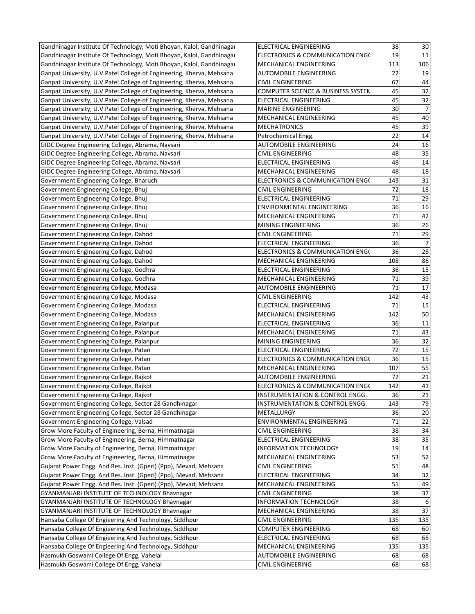| Gandhinagar Institute Of Technology, Moti Bhoyan, Kalol, Gandhinagar | ELECTRICAL ENGINEERING                      | 38  | 30              |
|----------------------------------------------------------------------|---------------------------------------------|-----|-----------------|
| Gandhinagar Institute Of Technology, Moti Bhoyan, Kalol, Gandhinagar | ELECTRONICS & COMMUNICATION ENGO            | 19  | 11              |
| Gandhinagar Institute Of Technology, Moti Bhoyan, Kalol, Gandhinagar | MECHANICAL ENGINEERING                      | 113 | 106             |
| Ganpat University, U.V.Patel College of Engineering, Kherva, Mehsana | <b>AUTOMOBILE ENGINEERING</b>               | 22  | 19              |
| Ganpat University, U.V.Patel College of Engineering, Kherva, Mehsana | <b>CIVIL ENGINEERING</b>                    | 67  | 44              |
| Ganpat University, U.V.Patel College of Engineering, Kherva, Mehsana | COMPUTER SCIENCE & BUSINESS SYSTEN          | 45  | 32              |
| Ganpat University, U.V.Patel College of Engineering, Kherva, Mehsana | <b>ELECTRICAL ENGINEERING</b>               | 45  | 32              |
| Ganpat University, U.V.Patel College of Engineering, Kherva, Mehsana | <b>MARINE ENGINEERING</b>                   | 30  | 7               |
| Ganpat University, U.V.Patel College of Engineering, Kherva, Mehsana | MECHANICAL ENGINEERING                      | 45  | 40              |
| Ganpat University, U.V.Patel College of Engineering, Kherva, Mehsana | <b>MECHATRONICS</b>                         | 45  | 39              |
| Ganpat University, U.V.Patel College of Engineering, Kherva, Mehsana | Petrochemical Engg.                         | 22  | 14              |
| GIDC Degree Engineering College, Abrama, Navsari                     | AUTOMOBILE ENGINEERING                      | 24  | 16              |
| GIDC Degree Engineering College, Abrama, Navsari                     | <b>CIVIL ENGINEERING</b>                    | 48  | 35              |
| GIDC Degree Engineering College, Abrama, Navsari                     | ELECTRICAL ENGINEERING                      | 48  | 14              |
| GIDC Degree Engineering College, Abrama, Navsari                     | MECHANICAL ENGINEERING                      | 48  | 18              |
| Government Engineering College, Bharuch                              | ELECTRONICS & COMMUNICATION ENGO            | 143 | 31              |
| Government Engineering College, Bhuj                                 | <b>CIVIL ENGINEERING</b>                    | 72  | 18              |
| Government Engineering College, Bhuj                                 | ELECTRICAL ENGINEERING                      | 71  | 29              |
| Government Engineering College, Bhuj                                 | <b>ENVIRONMENTAL ENGINEERING</b>            | 36  |                 |
|                                                                      |                                             | 71  | 16              |
| Government Engineering College, Bhuj                                 | MECHANICAL ENGINEERING                      |     | 42              |
| Government Engineering College, Bhuj                                 | MINING ENGINEERING                          | 36  | 26              |
| Government Engineering College, Dahod                                | <b>CIVIL ENGINEERING</b>                    | 71  | 29              |
| Government Engineering College, Dahod                                | ELECTRICAL ENGINEERING                      | 36  | $\overline{7}$  |
| Government Engineering College, Dahod                                | ELECTRONICS & COMMUNICATION ENGO            | 36  | $\overline{28}$ |
| Government Engineering College, Dahod                                | MECHANICAL ENGINEERING                      | 108 | 86              |
| Government Engineering College, Godhra                               | <b>ELECTRICAL ENGINEERING</b>               | 36  | 15              |
| Government Engineering College, Godhra                               | MECHANICAL ENGINEERING                      | 71  | 39              |
| Government Engineering College, Modasa                               | <b>AUTOMOBILE ENGINEERING</b>               | 71  | 17              |
| Government Engineering College, Modasa                               | <b>CIVIL ENGINEERING</b>                    | 142 | 43              |
| Government Engineering College, Modasa                               | ELECTRICAL ENGINEERING                      | 71  | 15              |
| Government Engineering College, Modasa                               | MECHANICAL ENGINEERING                      | 142 | 50              |
| Government Engineering College, Palanpur                             | <b>ELECTRICAL ENGINEERING</b>               | 36  | 11              |
| Government Engineering College, Palanpur                             | MECHANICAL ENGINEERING                      | 71  | 43              |
| Government Engineering College, Palanpur                             | MINING ENGINEERING                          | 36  | 32              |
| Government Engineering College, Patan                                | ELECTRICAL ENGINEERING                      | 72  | 15              |
| Government Engineering College, Patan                                | ELECTRONICS & COMMUNICATION ENGO            | 36  | 15              |
| Government Engineering College, Patan                                | MECHANICAL ENGINEERING                      | 107 | 55              |
| Government Engineering College, Rajkot                               | AUTOMOBILE ENGINEERING                      | 72  | 21              |
| Government Engineering College, Rajkot                               | <b>ELECTRONICS &amp; COMMUNICATION ENGO</b> | 142 | 41              |
| Government Engineering College, Rajkot                               | INSTRUMENTATION & CONTROL ENGG.             | 36  | 21              |
| Government Engineering College, Sector 28 Gandhinagar                | INSTRUMENTATION & CONTROL ENGG.             | 143 | 79              |
| Government Engineering College, Sector 28 Gandhinagar                | METALLURGY                                  | 36  | 20              |
| Government Engineering College, Valsad                               | ENVIRONMENTAL ENGINEERING                   | 71  | 22              |
| Grow More Faculty of Engineering, Berna, Himmatnagar                 | CIVIL ENGINEERING                           | 38  | 34              |
| Grow More Faculty of Engineering, Berna, Himmatnagar                 | ELECTRICAL ENGINEERING                      | 38  | 35              |
| Grow More Faculty of Engineering, Berna, Himmatnagar                 | <b>INFORMATION TECHNOLOGY</b>               | 19  | 14              |
| Grow More Faculty of Engineering, Berna, Himmatnagar                 | MECHANICAL ENGINEERING                      | 53  | 52              |
| Gujarat Power Engg. And Res. Inst. (Gperi) (Ppp), Mevad, Mehsana     | CIVIL ENGINEERING                           | 51  | 48              |
| Gujarat Power Engg. And Res. Inst. (Gperi) (Ppp), Mevad, Mehsana     | ELECTRICAL ENGINEERING                      | 34  | $\overline{32}$ |
| Gujarat Power Engg. And Res. Inst. (Gperi) (Ppp), Mevad, Mehsana     | MECHANICAL ENGINEERING                      | 51  | 49              |
| GYANMANJARI INSTITUTE OF TECHNOLOGY Bhavnagar                        | <b>CIVIL ENGINEERING</b>                    | 38  | 37              |
| GYANMANJARI INSTITUTE OF TECHNOLOGY Bhavnagar                        | <b>INFORMATION TECHNOLOGY</b>               | 38  | 6               |
| GYANMANJARI INSTITUTE OF TECHNOLOGY Bhavnagar                        | MECHANICAL ENGINEERING                      | 38  | 37              |
| Hansaba College Of Engieering And Technology, Siddhpur               | <b>CIVIL ENGINEERING</b>                    | 135 | 135             |
| Hansaba College Of Engieering And Technology, Siddhpur               | <b>COMPUTER ENGINEERING</b>                 | 68  | 60              |
| Hansaba College Of Engieering And Technology, Siddhpur               | ELECTRICAL ENGINEERING                      | 68  | 68              |
| Hansaba College Of Engieering And Technology, Siddhpur               | MECHANICAL ENGINEERING                      | 135 | 135             |
| Hasmukh Goswami College Of Engg, Vahelal                             | AUTOMOBILE ENGINEERING                      | 68  | 68              |
| Hasmukh Goswami College Of Engg, Vahelal                             | CIVIL ENGINEERING                           | 68  | 68              |
|                                                                      |                                             |     |                 |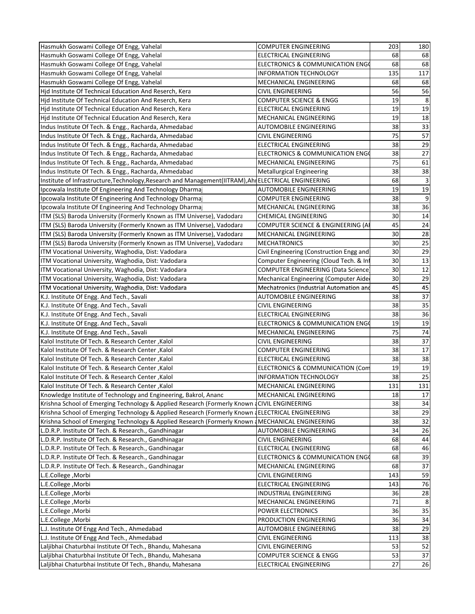| Hasmukh Goswami College Of Engg, Vahelal                                                             | <b>COMPUTER ENGINEERING</b>                 | 203      | 180 |
|------------------------------------------------------------------------------------------------------|---------------------------------------------|----------|-----|
| Hasmukh Goswami College Of Engg, Vahelal                                                             | <b>ELECTRICAL ENGINEERING</b>               | 68       | 68  |
| Hasmukh Goswami College Of Engg, Vahelal                                                             | <b>ELECTRONICS &amp; COMMUNICATION ENGO</b> | 68       | 68  |
| Hasmukh Goswami College Of Engg, Vahelal                                                             | <b>INFORMATION TECHNOLOGY</b>               | 135      | 117 |
| Hasmukh Goswami College Of Engg, Vahelal                                                             | MECHANICAL ENGINEERING                      | 68       | 68  |
| Hid Institute Of Technical Education And Reserch, Kera                                               | <b>CIVIL ENGINEERING</b>                    | 56       | 56  |
| Hid Institute Of Technical Education And Reserch, Kera                                               | COMPUTER SCIENCE & ENGG                     | 19       | 8   |
| Hid Institute Of Technical Education And Reserch, Kera                                               | ELECTRICAL ENGINEERING                      | 19       | 19  |
| Hjd Institute Of Technical Education And Reserch, Kera                                               | MECHANICAL ENGINEERING                      | 19       | 18  |
| Indus Institute Of Tech. & Engg., Racharda, Ahmedabad                                                | AUTOMOBILE ENGINEERING                      | 38       | 33  |
| Indus Institute Of Tech. & Engg., Racharda, Ahmedabad                                                | CIVIL ENGINEERING                           | 75       | 57  |
| Indus Institute Of Tech. & Engg., Racharda, Ahmedabad                                                | ELECTRICAL ENGINEERING                      | 38       | 29  |
| Indus Institute Of Tech. & Engg., Racharda, Ahmedabad                                                | ELECTRONICS & COMMUNICATION ENGO            | 38       | 27  |
| Indus Institute Of Tech. & Engg., Racharda, Ahmedabad                                                | MECHANICAL ENGINEERING                      | 75       | 61  |
| Indus Institute Of Tech. & Engg., Racharda, Ahmedabad                                                | <b>Metallurgical Engineering</b>            | 38       | 38  |
| Institute of Infrastructure, Technology, Research and Management (IITRAM), AhlELECTRICAL ENGINEERING |                                             | 68       | 3   |
| Ipcowala Institute Of Engineering And Technology Dharmaj                                             | <b>AUTOMOBILE ENGINEERING</b>               | 19       | 19  |
| Ipcowala Institute Of Engineering And Technology Dharmaj                                             | <b>COMPUTER ENGINEERING</b>                 | 38       | 9   |
| Ipcowala Institute Of Engineering And Technology Dharmaj                                             | MECHANICAL ENGINEERING                      | 38       | 36  |
| ITM (SLS) Baroda University (Formerly Known as ITM Universe), Vadodara                               | <b>CHEMICAL ENGINEERING</b>                 | 30       | 14  |
| ITM (SLS) Baroda University (Formerly Known as ITM Universe), Vadodara                               | COMPUTER SCIENCE & ENGINEERING (A)          | 45       | 24  |
| ITM (SLS) Baroda University (Formerly Known as ITM Universe), Vadodara                               | MECHANICAL ENGINEERING                      | 30       | 28  |
| ITM (SLS) Baroda University (Formerly Known as ITM Universe), Vadodara                               | <b>MECHATRONICS</b>                         | 30       | 25  |
| ITM Vocational University, Waghodia, Dist: Vadodara                                                  | Civil Engineering (Construction Engg and    | 30       | 29  |
| ITM Vocational University, Waghodia, Dist: Vadodara                                                  | Computer Engineering (Cloud Tech. & Inf     | 30       | 13  |
| ITM Vocational University, Waghodia, Dist: Vadodara                                                  | COMPUTER ENGINEERING (Data Science          | 30       | 12  |
| ITM Vocational University, Waghodia, Dist: Vadodara                                                  | Mechanical Engineering (Computer Aide       | 30       | 29  |
|                                                                                                      | Mechatronics (Industrial Automation and     | 45       | 45  |
| ITM Vocational University, Waghodia, Dist: Vadodara                                                  |                                             |          | 37  |
| K.J. Institute Of Engg. And Tech., Savali                                                            | <b>AUTOMOBILE ENGINEERING</b>               | 38       | 35  |
| K.J. Institute Of Engg. And Tech., Savali                                                            | <b>CIVIL ENGINEERING</b>                    | 38<br>38 |     |
| K.J. Institute Of Engg. And Tech., Savali                                                            | ELECTRICAL ENGINEERING                      |          | 36  |
| K.J. Institute Of Engg. And Tech., Savali                                                            | ELECTRONICS & COMMUNICATION ENGO            | 19       | 19  |
| K.J. Institute Of Engg. And Tech., Savali                                                            | MECHANICAL ENGINEERING                      | 75       | 74  |
| Kalol Institute Of Tech. & Research Center, Kalol                                                    | CIVIL ENGINEERING                           | 38       | 37  |
| Kalol Institute Of Tech. & Research Center, Kalol                                                    | COMPUTER ENGINEERING                        | 38       | 17  |
| Kalol Institute Of Tech. & Research Center, Kalol                                                    | ELECTRICAL ENGINEERING                      | 38       | 38  |
| Kalol Institute Of Tech. & Research Center, Kalol                                                    | <b>ELECTRONICS &amp; COMMUNICATION (Com</b> | 19       | 19  |
| Kalol Institute Of Tech. & Research Center, Kalol                                                    | INFORMATION TECHNOLOGY                      | 38       | 25  |
| Kalol Institute Of Tech. & Research Center, Kalol                                                    | MECHANICAL ENGINEERING                      | 131      | 131 |
| Knowledge Institute of Technology and Engineering, Bakrol, Anand                                     | MECHANICAL ENGINEERING                      | 18       | 17  |
| Krishna School of Emerging Technology & Applied Research (Formerly Known (CIVIL ENGINEERING          |                                             | 38       | 34  |
| Krishna School of Emerging Technology & Applied Research (Formerly Known & ELECTRICAL ENGINEERING    |                                             | 38       | 29  |
| Krishna School of Emerging Technology & Applied Research (Formerly Known   MECHANICAL ENGINEERING    |                                             | 38       | 32  |
| L.D.R.P. Institute Of Tech. & Research., Gandhinagar                                                 | <b>AUTOMOBILE ENGINEERING</b>               | 34       | 26  |
| L.D.R.P. Institute Of Tech. & Research., Gandhinagar                                                 | CIVIL ENGINEERING                           | 68       | 44  |
| L.D.R.P. Institute Of Tech. & Research., Gandhinagar                                                 | <b>ELECTRICAL ENGINEERING</b>               | 68       | 46  |
| L.D.R.P. Institute Of Tech. & Research., Gandhinagar                                                 | ELECTRONICS & COMMUNICATION ENGO            | 68       | 39  |
| L.D.R.P. Institute Of Tech. & Research., Gandhinagar                                                 | MECHANICAL ENGINEERING                      | 68       | 37  |
| L.E.College, Morbi                                                                                   | CIVIL ENGINEERING                           | 143      | 59  |
| L.E.College , Morbi                                                                                  | <b>ELECTRICAL ENGINEERING</b>               | 143      | 76  |
| L.E.College, Morbi                                                                                   | INDUSTRIAL ENGINEERING                      | 36       | 28  |
| L.E.College , Morbi                                                                                  | MECHANICAL ENGINEERING                      | 71       | 8   |
| L.E.College, Morbi                                                                                   | POWER ELECTRONICS                           | 36       | 35  |
| L.E.College, Morbi                                                                                   | PRODUCTION ENGINEERING                      | 36       | 34  |
| L.J. Institute Of Engg And Tech., Ahmedabad                                                          | AUTOMOBILE ENGINEERING                      | 38       | 29  |
| L.J. Institute Of Engg And Tech., Ahmedabad                                                          | <b>CIVIL ENGINEERING</b>                    | 113      | 38  |
| Laljibhai Chaturbhai Institute Of Tech., Bhandu, Mahesana                                            | <b>CIVIL ENGINEERING</b>                    | 53       | 52  |
| Laljibhai Chaturbhai Institute Of Tech., Bhandu, Mahesana                                            | <b>COMPUTER SCIENCE &amp; ENGG</b>          | 53       | 37  |
| Laljibhai Chaturbhai Institute Of Tech., Bhandu, Mahesana                                            | ELECTRICAL ENGINEERING                      | 27       | 26  |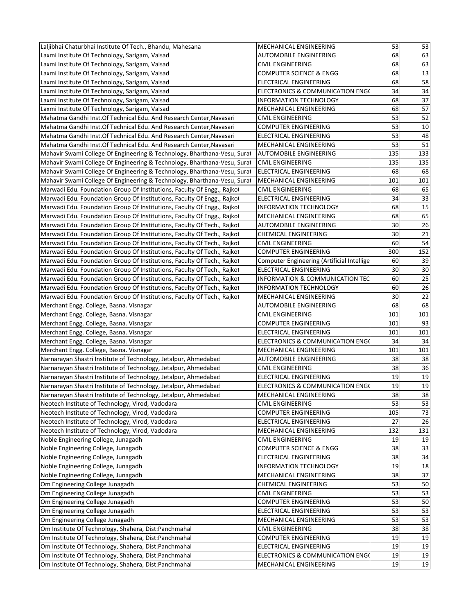| Laljibhai Chaturbhai Institute Of Tech., Bhandu, Mahesana                                                                                          | MECHANICAL ENGINEERING                                    | 53       | 53              |
|----------------------------------------------------------------------------------------------------------------------------------------------------|-----------------------------------------------------------|----------|-----------------|
| Laxmi Institute Of Technology, Sarigam, Valsad                                                                                                     | <b>AUTOMOBILE ENGINEERING</b>                             | 68       | 63              |
| Laxmi Institute Of Technology, Sarigam, Valsad                                                                                                     | <b>CIVIL ENGINEERING</b>                                  | 68       | 63              |
| Laxmi Institute Of Technology, Sarigam, Valsad                                                                                                     | <b>COMPUTER SCIENCE &amp; ENGG</b>                        | 68       | 13              |
| Laxmi Institute Of Technology, Sarigam, Valsad                                                                                                     | ELECTRICAL ENGINEERING                                    | 68       | 58              |
| Laxmi Institute Of Technology, Sarigam, Valsad                                                                                                     | ELECTRONICS & COMMUNICATION ENGO                          | 34       | 34              |
| Laxmi Institute Of Technology, Sarigam, Valsad                                                                                                     | INFORMATION TECHNOLOGY                                    | 68       | 37              |
| Laxmi Institute Of Technology, Sarigam, Valsad                                                                                                     | MECHANICAL ENGINEERING                                    | 68       | 57              |
| Mahatma Gandhi Inst. Of Technical Edu. And Research Center, Navasari                                                                               | <b>CIVIL ENGINEERING</b>                                  | 53       | 52              |
| Mahatma Gandhi Inst. Of Technical Edu. And Research Center, Navasari                                                                               | <b>COMPUTER ENGINEERING</b>                               | 53       | 10              |
| Mahatma Gandhi Inst. Of Technical Edu. And Research Center, Navasari                                                                               | ELECTRICAL ENGINEERING                                    | 53       | 48              |
| Mahatma Gandhi Inst. Of Technical Edu. And Research Center, Navasari                                                                               | MECHANICAL ENGINEERING                                    | 53       | $\overline{51}$ |
| Mahavir Swami College Of Engineering & Technology, Bharthana-Vesu, Surat                                                                           | <b>AUTOMOBILE ENGINEERING</b>                             | 135      | 133             |
| Mahavir Swami College Of Engineering & Technology, Bharthana-Vesu, Surat                                                                           | <b>CIVIL ENGINEERING</b>                                  | 135      | 135             |
| Mahavir Swami College Of Engineering & Technology, Bharthana-Vesu, Surat                                                                           | ELECTRICAL ENGINEERING                                    | 68       | 68              |
| Mahavir Swami College Of Engineering & Technology, Bharthana-Vesu, Surat                                                                           | <b>MECHANICAL ENGINEERING</b>                             | 101      | 101             |
| Marwadi Edu. Foundation Group Of Institutions, Faculty Of Engg., Rajkot                                                                            | <b>CIVIL ENGINEERING</b>                                  | 68       | 65              |
| Marwadi Edu. Foundation Group Of Institutions, Faculty Of Engg., Rajkot                                                                            | ELECTRICAL ENGINEERING                                    | 34       | 33              |
| Marwadi Edu. Foundation Group Of Institutions, Faculty Of Engg., Rajkot                                                                            | <b>INFORMATION TECHNOLOGY</b>                             | 68       | 15              |
| Marwadi Edu. Foundation Group Of Institutions, Faculty Of Engg., Rajkot                                                                            | MECHANICAL ENGINEERING                                    | 68       | 65              |
|                                                                                                                                                    | AUTOMOBILE ENGINEERING                                    | 30       | 26              |
| Marwadi Edu. Foundation Group Of Institutions, Faculty Of Tech., Rajkot<br>Marwadi Edu. Foundation Group Of Institutions, Faculty Of Tech., Rajkot | <b>CHEMICAL ENGINEERING</b>                               | 30       | 21              |
|                                                                                                                                                    |                                                           | 60       | 54              |
| Marwadi Edu. Foundation Group Of Institutions, Faculty Of Tech., Rajkot                                                                            | <b>CIVIL ENGINEERING</b>                                  |          |                 |
| Marwadi Edu. Foundation Group Of Institutions, Faculty Of Tech., Rajkot                                                                            | <b>COMPUTER ENGINEERING</b>                               | 300      | 152             |
| Marwadi Edu. Foundation Group Of Institutions, Faculty Of Tech., Rajkot                                                                            | Computer Engineering (Artificial Intellige                | 60<br>30 | 39<br>30        |
| Marwadi Edu. Foundation Group Of Institutions, Faculty Of Tech., Rajkot                                                                            | ELECTRICAL ENGINEERING<br>INFORMATION & COMMUNICATION TEC | 60       | $\overline{25}$ |
| Marwadi Edu. Foundation Group Of Institutions, Faculty Of Tech., Rajkot                                                                            | INFORMATION TECHNOLOGY                                    | 60       | 26              |
| Marwadi Edu. Foundation Group Of Institutions, Faculty Of Tech., Rajkot<br>Marwadi Edu. Foundation Group Of Institutions, Faculty Of Tech., Rajkot |                                                           | 30       | 22              |
|                                                                                                                                                    | MECHANICAL ENGINEERING                                    | 68       |                 |
| Merchant Engg. College, Basna. Visnagar<br>Merchant Engg. College, Basna. Visnagar                                                                 | <b>AUTOMOBILE ENGINEERING</b><br>CIVIL ENGINEERING        | 101      | 68<br>101       |
| Merchant Engg. College, Basna. Visnagar                                                                                                            | <b>COMPUTER ENGINEERING</b>                               | 101      | 93              |
| Merchant Engg. College, Basna. Visnagar                                                                                                            | ELECTRICAL ENGINEERING                                    | 101      | 101             |
| Merchant Engg. College, Basna. Visnagar                                                                                                            | ELECTRONICS & COMMUNICATION ENGO                          | 34       | 34              |
| Merchant Engg. College, Basna. Visnagar                                                                                                            | MECHANICAL ENGINEERING                                    | 101      | 101             |
| Narnarayan Shastri Institute of Technology, Jetalpur, Ahmedabad                                                                                    | AUTOMOBILE ENGINEERING                                    | 38       | 38              |
| Narnarayan Shastri Institute of Technology, Jetalpur, Ahmedabad                                                                                    | <b>CIVIL ENGINEERING</b>                                  | 38       | 36              |
| Narnarayan Shastri Institute of Technology, Jetalpur, Ahmedabad                                                                                    | <b>ELECTRICAL ENGINEERING</b>                             | 19       | 19              |
| Narnarayan Shastri Institute of Technology, Jetalpur, Ahmedabad                                                                                    | ELECTRONICS & COMMUNICATION ENGO                          | 19       | 19              |
| Narnarayan Shastri Institute of Technology, Jetalpur, Ahmedabad                                                                                    | MECHANICAL ENGINEERING                                    | 38       | 38              |
| Neotech Institute of Technology, Virod, Vadodara                                                                                                   | <b>CIVIL ENGINEERING</b>                                  | 53       | 53              |
| Neotech Institute of Technology, Virod, Vadodara                                                                                                   | <b>COMPUTER ENGINEERING</b>                               | 105      | 73              |
| Neotech Institute of Technology, Virod, Vadodara                                                                                                   | ELECTRICAL ENGINEERING                                    | 27       | 26              |
| Neotech Institute of Technology, Virod, Vadodara                                                                                                   | MECHANICAL ENGINEERING                                    | 132      | 131             |
| Noble Engineering College, Junagadh                                                                                                                | CIVIL ENGINEERING                                         | 19       | 19              |
| Noble Engineering College, Junagadh                                                                                                                | <b>COMPUTER SCIENCE &amp; ENGG</b>                        | 38       | 33              |
| Noble Engineering College, Junagadh                                                                                                                | ELECTRICAL ENGINEERING                                    | 38       | 34              |
| Noble Engineering College, Junagadh                                                                                                                | <b>INFORMATION TECHNOLOGY</b>                             | 19       | 18              |
| Noble Engineering College, Junagadh                                                                                                                | MECHANICAL ENGINEERING                                    | 38       | 37              |
| Om Engineering College Junagadh                                                                                                                    | <b>CHEMICAL ENGINEERING</b>                               | 53       | 50              |
| Om Engineering College Junagadh                                                                                                                    | CIVIL ENGINEERING                                         | 53       | 53              |
| Om Engineering College Junagadh                                                                                                                    | <b>COMPUTER ENGINEERING</b>                               | 53       | 50              |
| Om Engineering College Junagadh                                                                                                                    | ELECTRICAL ENGINEERING                                    | 53       | 53              |
| Om Engineering College Junagadh                                                                                                                    | MECHANICAL ENGINEERING                                    | 53       | 53              |
| Om Institute Of Technology, Shahera, Dist:Panchmahal                                                                                               | <b>CIVIL ENGINEERING</b>                                  | 38       | 38              |
| Om Institute Of Technology, Shahera, Dist:Panchmahal                                                                                               | <b>COMPUTER ENGINEERING</b>                               | 19       | 19              |
| Om Institute Of Technology, Shahera, Dist:Panchmahal                                                                                               | ELECTRICAL ENGINEERING                                    | 19       | 19              |
| Om Institute Of Technology, Shahera, Dist:Panchmahal                                                                                               | ELECTRONICS & COMMUNICATION ENGO                          | 19       | 19              |
| Om Institute Of Technology, Shahera, Dist:Panchmahal                                                                                               | MECHANICAL ENGINEERING                                    | 19       | 19              |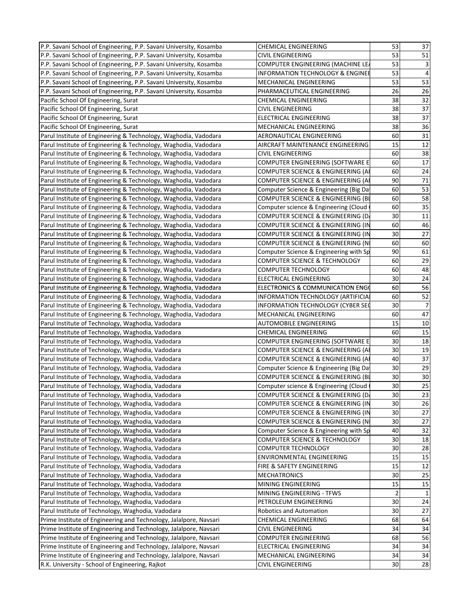| P.P. Savani School of Engineering, P.P. Savani University, Kosamba | <b>CHEMICAL ENGINEERING</b>              | 53             | 37              |  |
|--------------------------------------------------------------------|------------------------------------------|----------------|-----------------|--|
| P.P. Savani School of Engineering, P.P. Savani University, Kosamba | <b>CIVIL ENGINEERING</b>                 | 53             | 51              |  |
| P.P. Savani School of Engineering, P.P. Savani University, Kosamba | <b>COMPUTER ENGINEERING (MACHINE LEA</b> | 53             | 3               |  |
| P.P. Savani School of Engineering, P.P. Savani University, Kosamba | INFORMATION TECHNOLOGY & ENGINEE         | 53             | $\overline{4}$  |  |
| P.P. Savani School of Engineering, P.P. Savani University, Kosamba | MECHANICAL ENGINEERING                   | 53             | 53              |  |
| P.P. Savani School of Engineering, P.P. Savani University, Kosamba | PHARMACEUTICAL ENGINEERING               | 26             | 26              |  |
| Pacific School Of Engineering, Surat                               | <b>CHEMICAL ENGINEERING</b>              | 38             | 32              |  |
| Pacific School Of Engineering, Surat                               | <b>CIVIL ENGINEERING</b>                 | 38             | 37              |  |
| Pacific School Of Engineering, Surat                               | ELECTRICAL ENGINEERING                   | 38             | 37              |  |
| Pacific School Of Engineering, Surat                               | MECHANICAL ENGINEERING                   | 38             | 36              |  |
| Parul Institute of Engineering & Technology, Waghodia, Vadodara    | AERONAUTICAL ENGINEERING                 | 60             | 31              |  |
| Parul Institute of Engineering & Technology, Waghodia, Vadodara    | AIRCRAFT MAINTENANCE ENGINEERING         | 15             | 12              |  |
| Parul Institute of Engineering & Technology, Waghodia, Vadodara    | <b>CIVIL ENGINEERING</b>                 | 60             | $\overline{38}$ |  |
| Parul Institute of Engineering & Technology, Waghodia, Vadodara    | COMPUTER ENGINEERING (SOFTWARE E         | 60             | 17              |  |
| Parul Institute of Engineering & Technology, Waghodia, Vadodara    | COMPUTER SCIENCE & ENGINEERING (AI       | 60             | 24              |  |
| Parul Institute of Engineering & Technology, Waghodia, Vadodara    | COMPUTER SCIENCE & ENGINEERING (AI       | 90             | 71              |  |
| Parul Institute of Engineering & Technology, Waghodia, Vadodara    | Computer Science & Engineering (Big Da   | 60             | 53              |  |
| Parul Institute of Engineering & Technology, Waghodia, Vadodara    | COMPUTER SCIENCE & ENGINEERING (BI       | 60             | 58              |  |
| Parul Institute of Engineering & Technology, Waghodia, Vadodara    | Computer science & Engineering (Cloud    | 60             | 35              |  |
| Parul Institute of Engineering & Technology, Waghodia, Vadodara    | COMPUTER SCIENCE & ENGINEERING (DA       | 30             | $\overline{11}$ |  |
| Parul Institute of Engineering & Technology, Waghodia, Vadodara    | COMPUTER SCIENCE & ENGINEERING (IN       | 60             | 46              |  |
| Parul Institute of Engineering & Technology, Waghodia, Vadodara    | COMPUTER SCIENCE & ENGINEERING (IN       | 30             | 27              |  |
| Parul Institute of Engineering & Technology, Waghodia, Vadodara    | COMPUTER SCIENCE & ENGINEERING (N)       | 60             | 60              |  |
| Parul Institute of Engineering & Technology, Waghodia, Vadodara    | Computer Science & Engineering with Sp   | 90             | 61              |  |
| Parul Institute of Engineering & Technology, Waghodia, Vadodara    | COMPUTER SCIENCE & TECHNOLOGY            | 60             | 29              |  |
| Parul Institute of Engineering & Technology, Waghodia, Vadodara    | COMPUTER TECHNOLOGY                      | 60             | 48              |  |
| Parul Institute of Engineering & Technology, Waghodia, Vadodara    | ELECTRICAL ENGINEERING                   | 30             | 24              |  |
| Parul Institute of Engineering & Technology, Waghodia, Vadodara    | ELECTRONICS & COMMUNICATION ENGO         | 60             | 56              |  |
| Parul Institute of Engineering & Technology, Waghodia, Vadodara    | INFORMATION TECHNOLOGY (ARTIFICIAL       | 60             | 52              |  |
| Parul Institute of Engineering & Technology, Waghodia, Vadodara    | INFORMATION TECHNOLOGY (CYBER SEC        | 30             | $\overline{7}$  |  |
| Parul Institute of Engineering & Technology, Waghodia, Vadodara    | MECHANICAL ENGINEERING                   | 60             | 47              |  |
| Parul Institute of Technology, Waghodia, Vadodara                  | <b>AUTOMOBILE ENGINEERING</b>            | 15             | 10              |  |
|                                                                    | <b>CHEMICAL ENGINEERING</b>              | 60             | 15              |  |
| Parul Institute of Technology, Waghodia, Vadodara                  | COMPUTER ENGINEERING (SOFTWARE E         | 30             | 18              |  |
| Parul Institute of Technology, Waghodia, Vadodara                  |                                          | 30             | 19              |  |
| Parul Institute of Technology, Waghodia, Vadodara                  | COMPUTER SCIENCE & ENGINEERING (AI       |                |                 |  |
| Parul Institute of Technology, Waghodia, Vadodara                  | COMPUTER SCIENCE & ENGINEERING (AI       | 40             | 37              |  |
| Parul Institute of Technology, Waghodia, Vadodara                  | Computer Science & Engineering (Big Da   | 30             | 29              |  |
| Parul Institute of Technology, Waghodia, Vadodara                  | COMPUTER SCIENCE & ENGINEERING (BL       | 30             | $\overline{30}$ |  |
| Parul Institute of Technology, Waghodia, Vadodara                  | Computer science & Engineering (Cloud    | 30             | 25              |  |
| Parul Institute of Technology, Waghodia, Vadodara                  | COMPUTER SCIENCE & ENGINEERING (D.       | 30             | 23              |  |
| Parul Institute of Technology, Waghodia, Vadodara                  | COMPUTER SCIENCE & ENGINEERING (IN       | 30             | 26              |  |
| Parul Institute of Technology, Waghodia, Vadodara                  | COMPUTER SCIENCE & ENGINEERING (IN       | 30             | 27              |  |
| Parul Institute of Technology, Waghodia, Vadodara                  | COMPUTER SCIENCE & ENGINEERING (N)       | 30             | 27              |  |
| Parul Institute of Technology, Waghodia, Vadodara                  | Computer Science & Engineering with Sp   | 40             | 32              |  |
| Parul Institute of Technology, Waghodia, Vadodara                  | COMPUTER SCIENCE & TECHNOLOGY            | 30             | 18              |  |
| Parul Institute of Technology, Waghodia, Vadodara                  | COMPUTER TECHNOLOGY                      | 30             | 28              |  |
| Parul Institute of Technology, Waghodia, Vadodara                  | ENVIRONMENTAL ENGINEERING                | 15             | 15              |  |
| Parul Institute of Technology, Waghodia, Vadodara                  | FIRE & SAFETY ENGINEERING                | 15             | 12              |  |
| Parul Institute of Technology, Waghodia, Vadodara                  | <b>MECHATRONICS</b>                      | 30             | $\overline{25}$ |  |
| Parul Institute of Technology, Waghodia, Vadodara                  | MINING ENGINEERING                       | 15             | 15              |  |
| Parul Institute of Technology, Waghodia, Vadodara                  | MINING ENGINEERING - TFWS                | $\overline{2}$ |                 |  |
| Parul Institute of Technology, Waghodia, Vadodara                  | PETROLEUM ENGINEERING                    | 30             | 24              |  |
| Parul Institute of Technology, Waghodia, Vadodara                  | Robotics and Automation                  | 30             | 27              |  |
| Prime Institute of Engineering and Technology, Jalalpore, Navsari  | <b>CHEMICAL ENGINEERING</b>              | 68             | 64              |  |
| Prime Institute of Engineering and Technology, Jalalpore, Navsari  | <b>CIVIL ENGINEERING</b>                 | 34             | 34              |  |
| Prime Institute of Engineering and Technology, Jalalpore, Navsari  | <b>COMPUTER ENGINEERING</b>              | 68             | 56              |  |
| Prime Institute of Engineering and Technology, Jalalpore, Navsari  | ELECTRICAL ENGINEERING                   | 34             | 34              |  |
| Prime Institute of Engineering and Technology, Jalalpore, Navsari  | MECHANICAL ENGINEERING                   | 34             | 34              |  |
| R.K. University - School of Engineering, Rajkot                    | <b>CIVIL ENGINEERING</b>                 | 30             | 28              |  |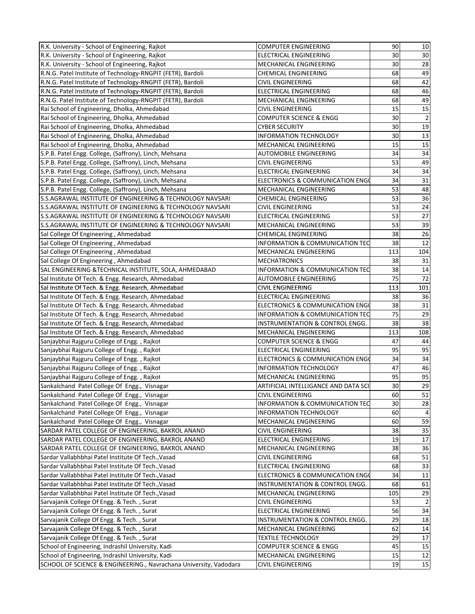| R.K. University - School of Engineering, Rajkot                   | <b>COMPUTER ENGINEERING</b>          | 90  | $10\,$         |
|-------------------------------------------------------------------|--------------------------------------|-----|----------------|
| R.K. University - School of Engineering, Rajkot                   | <b>ELECTRICAL ENGINEERING</b>        | 30  | 30             |
| R.K. University - School of Engineering, Rajkot                   | MECHANICAL ENGINEERING               | 30  | 28             |
| R.N.G. Patel Institute of Technology-RNGPIT (FETR), Bardoli       | <b>CHEMICAL ENGINEERING</b>          | 68  | 49             |
| R.N.G. Patel Institute of Technology-RNGPIT (FETR), Bardoli       | <b>CIVIL ENGINEERING</b>             | 68  | 42             |
| R.N.G. Patel Institute of Technology-RNGPIT (FETR), Bardoli       | ELECTRICAL ENGINEERING               | 68  | 46             |
| R.N.G. Patel Institute of Technology-RNGPIT (FETR), Bardoli       | MECHANICAL ENGINEERING               | 68  | 49             |
| Rai School of Engineering, Dholka, Ahmedabad                      | <b>CIVIL ENGINEERING</b>             | 15  | 15             |
| Rai School of Engineering, Dholka, Ahmedabad                      | <b>COMPUTER SCIENCE &amp; ENGG</b>   | 30  | $\overline{2}$ |
| Rai School of Engineering, Dholka, Ahmedabad                      | <b>CYBER SECURITY</b>                | 30  | 19             |
| Rai School of Engineering, Dholka, Ahmedabad                      | <b>INFORMATION TECHNOLOGY</b>        | 30  | 13             |
| Rai School of Engineering, Dholka, Ahmedabad                      | MECHANICAL ENGINEERING               | 15  | 15             |
| S.P.B. Patel Engg. College, (Saffrony), Linch, Mehsana            | AUTOMOBILE ENGINEERING               | 34  | 34             |
| S.P.B. Patel Engg. College, (Saffrony), Linch, Mehsana            | <b>CIVIL ENGINEERING</b>             | 53  | 49             |
| S.P.B. Patel Engg. College, (Saffrony), Linch, Mehsana            | ELECTRICAL ENGINEERING               | 34  | 34             |
| S.P.B. Patel Engg. College, (Saffrony), Linch, Mehsana            | ELECTRONICS & COMMUNICATION ENGO     | 34  | 31             |
| S.P.B. Patel Engg. College, (Saffrony), Linch, Mehsana            | MECHANICAL ENGINEERING               | 53  | 48             |
| S.S.AGRAWAL INSTITUTE OF ENGINEERING & TECHNOLOGY NAVSARI         | <b>CHEMICAL ENGINEERING</b>          | 53  | 36             |
| S.S.AGRAWAL INSTITUTE OF ENGINEERING & TECHNOLOGY NAVSARI         | <b>CIVIL ENGINEERING</b>             | 53  | 24             |
| S.S.AGRAWAL INSTITUTE OF ENGINEERING & TECHNOLOGY NAVSARI         | ELECTRICAL ENGINEERING               | 53  | 27             |
| S.S.AGRAWAL INSTITUTE OF ENGINEERING & TECHNOLOGY NAVSARI         | MECHANICAL ENGINEERING               | 53  | 39             |
| Sal College Of Engineering, Ahmedabad                             | <b>CHEMICAL ENGINEERING</b>          | 38  | 26             |
| Sal College Of Engineering, Ahmedabad                             | INFORMATION & COMMUNICATION TEC      | 38  | 12             |
| Sal College Of Engineering, Ahmedabad                             | MECHANICAL ENGINEERING               | 113 | 104            |
| Sal College Of Engineering, Ahmedabad                             | <b>MECHATRONICS</b>                  | 38  | 31             |
| SAL ENGINEERING & TECHNICAL INSTITUTE, SOLA, AHMEDABAD            | INFORMATION & COMMUNICATION TEC      | 38  | 14             |
| Sal Institute Of Tech. & Engg. Research, Ahmedabad                | <b>AUTOMOBILE ENGINEERING</b>        | 75  | 72             |
| Sal Institute Of Tech. & Engg. Research, Ahmedabad                | <b>CIVIL ENGINEERING</b>             | 113 | 101            |
| Sal Institute Of Tech. & Engg. Research, Ahmedabad                | ELECTRICAL ENGINEERING               | 38  | 36             |
| Sal Institute Of Tech. & Engg. Research, Ahmedabad                | ELECTRONICS & COMMUNICATION ENGO     | 38  | 31             |
| Sal Institute Of Tech. & Engg. Research, Ahmedabad                | INFORMATION & COMMUNICATION TEC      | 75  | 29             |
| Sal Institute Of Tech. & Engg. Research, Ahmedabad                | INSTRUMENTATION & CONTROL ENGG.      | 38  | 38             |
| Sal Institute Of Tech. & Engg. Research, Ahmedabad                | MECHANICAL ENGINEERING               | 113 | 108            |
| Sanjaybhai Rajguru College of Engg., Rajkot                       | <b>COMPUTER SCIENCE &amp; ENGG</b>   | 47  | 44             |
| Sanjaybhai Rajguru College of Engg., Rajkot                       | ELECTRICAL ENGINEERING               | 95  | 95             |
| Sanjaybhai Rajguru College of Engg., Rajkot                       | ELECTRONICS & COMMUNICATION ENGO     | 34  | 34             |
| Sanjaybhai Rajguru College of Engg., Rajkot                       | <b>INFORMATION TECHNOLOGY</b>        | 47  | 46             |
| Sanjaybhai Rajguru College of Engg., Rajkot                       | MECHANICAL ENGINEERING               | 95  | 95             |
| Sankalchand Patel College Of Engg., Visnagar                      | ARTIFICIAL INTELLIGANCE AND DATA SCI | 30  | 29             |
| Sankalchand Patel College Of Engg., Visnagar                      | <b>CIVIL ENGINEERING</b>             | 60  | 51             |
| Sankalchand Patel College Of Engg., Visnagar                      | INFORMATION & COMMUNICATION TEC      | 30  | 28             |
| Sankalchand Patel College Of Engg., Visnagar                      | <b>INFORMATION TECHNOLOGY</b>        | 60  | 4              |
| Sankalchand Patel College Of Engg., Visnagar                      | MECHANICAL ENGINEERING               | 60  | 59             |
| SARDAR PATEL COLLEGE OF ENGINEERING, BAKROL ANAND                 | CIVIL ENGINEERING                    | 38  | 35             |
| SARDAR PATEL COLLEGE OF ENGINEERING, BAKROL ANAND                 | ELECTRICAL ENGINEERING               | 19  | 17             |
| SARDAR PATEL COLLEGE OF ENGINEERING, BAKROL ANAND                 | MECHANICAL ENGINEERING               | 38  | 36             |
| Sardar Vallabhbhai Patel Institute Of Tech., Vasad                | <b>CIVIL ENGINEERING</b>             | 68  | 51             |
| Sardar Vallabhbhai Patel Institute Of Tech., Vasad                | ELECTRICAL ENGINEERING               | 68  | 33             |
| Sardar Vallabhbhai Patel Institute Of Tech., Vasad                | ELECTRONICS & COMMUNICATION ENGO     | 34  | 11             |
| Sardar Vallabhbhai Patel Institute Of Tech., Vasad                | INSTRUMENTATION & CONTROL ENGG.      | 68  | 61             |
| Sardar Vallabhbhai Patel Institute Of Tech., Vasad                | MECHANICAL ENGINEERING               | 105 | 29             |
| Sarvajanik College Of Engg. & Tech., Surat                        | <b>CIVIL ENGINEERING</b>             | 53  |                |
| Sarvajanik College Of Engg. & Tech., Surat                        | ELECTRICAL ENGINEERING               | 56  | 34             |
| Sarvajanik College Of Engg. & Tech., Surat                        | INSTRUMENTATION & CONTROL ENGG.      | 29  | 18             |
| Sarvajanik College Of Engg. & Tech., Surat                        | MECHANICAL ENGINEERING               | 62  | 14             |
| Sarvajanik College Of Engg. & Tech., Surat                        | <b>TEXTILE TECHNOLOGY</b>            | 29  | 17             |
| School of Engineering, Indrashil University, Kadi                 | <b>COMPUTER SCIENCE &amp; ENGG</b>   | 45  | 15             |
| School of Engineering, Indrashil University, Kadi                 | MECHANICAL ENGINEERING               | 15  | 12             |
| SCHOOL OF SCIENCE & ENGINEERING., Navrachana University, Vadodara | <b>CIVIL ENGINEERING</b>             | 19  | 15             |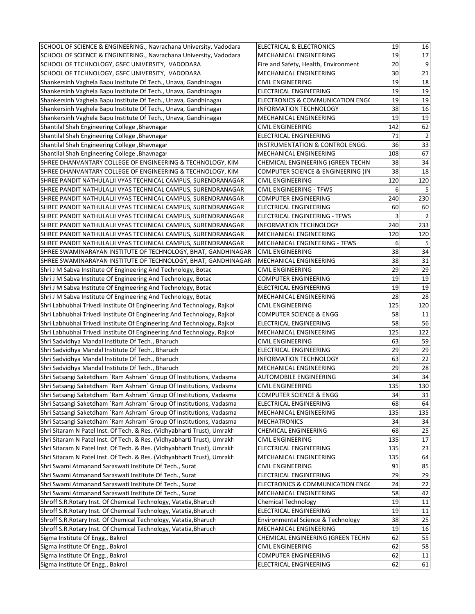| SCHOOL OF SCIENCE & ENGINEERING., Navrachana University, Vadodara       | ELECTRICAL & ELECTRONICS                   | 19       | 16              |  |
|-------------------------------------------------------------------------|--------------------------------------------|----------|-----------------|--|
| SCHOOL OF SCIENCE & ENGINEERING., Navrachana University, Vadodara       | MECHANICAL ENGINEERING                     | 19       | $\overline{17}$ |  |
| SCHOOL OF TECHNOLOGY, GSFC UNIVERSITY, VADODARA                         | Fire and Safety, Health, Environment       | 20       | 9               |  |
| SCHOOL OF TECHNOLOGY, GSFC UNIVERSITY, VADODARA                         | MECHANICAL ENGINEERING                     | 30       | 21              |  |
| Shankersinh Vaghela Bapu Institute Of Tech., Unava, Gandhinagar         | <b>CIVIL ENGINEERING</b>                   | 19       | 18              |  |
| Shankersinh Vaghela Bapu Institute Of Tech., Unava, Gandhinagar         | ELECTRICAL ENGINEERING                     | 19       | 19              |  |
| Shankersinh Vaghela Bapu Institute Of Tech., Unava, Gandhinagar         | ELECTRONICS & COMMUNICATION ENGO           | 19       | 19              |  |
| Shankersinh Vaghela Bapu Institute Of Tech., Unava, Gandhinagar         | <b>INFORMATION TECHNOLOGY</b>              | 38       | 16              |  |
| Shankersinh Vaghela Bapu Institute Of Tech., Unava, Gandhinagar         | MECHANICAL ENGINEERING                     | 19       | $\overline{19}$ |  |
| Shantilal Shah Engineering College, Bhavnagar                           | <b>CIVIL ENGINEERING</b>                   | 142      | 62              |  |
| Shantilal Shah Engineering College, Bhavnagar                           | ELECTRICAL ENGINEERING                     | 71       |                 |  |
| Shantilal Shah Engineering College, Bhavnagar                           | <b>INSTRUMENTATION &amp; CONTROL ENGG.</b> | 36       | $\overline{33}$ |  |
| Shantilal Shah Engineering College, Bhavnagar                           | MECHANICAL ENGINEERING                     | 108      | 67              |  |
|                                                                         |                                            |          | 34              |  |
| SHREE DHANVANTARY COLLEGE OF ENGINEERING & TECHNOLOGY, KIM              | CHEMICAL ENGINEERING (GREEN TECHN          | 38<br>38 | $\overline{18}$ |  |
| SHREE DHANVANTARY COLLEGE OF ENGINEERING & TECHNOLOGY, KIM              | COMPUTER SCIENCE & ENGINEERING (IN         | 120      | 120             |  |
| SHREE PANDIT NATHULALJI VYAS TECHNICAL CAMPUS, SURENDRANAGAR            | <b>CIVIL ENGINEERING</b>                   |          |                 |  |
| SHREE PANDIT NATHULALJI VYAS TECHNICAL CAMPUS, SURENDRANAGAR            | <b>CIVIL ENGINEERING - TFWS</b>            | 6        |                 |  |
| SHREE PANDIT NATHULALJI VYAS TECHNICAL CAMPUS, SURENDRANAGAR            | <b>COMPUTER ENGINEERING</b>                | 240      | 230             |  |
| SHREE PANDIT NATHULALJI VYAS TECHNICAL CAMPUS, SURENDRANAGAR            | <b>ELECTRICAL ENGINEERING</b>              | 60       | 60              |  |
| SHREE PANDIT NATHULALJI VYAS TECHNICAL CAMPUS, SURENDRANAGAR            | ELECTRICAL ENGINEERING - TFWS              | 3        |                 |  |
| SHREE PANDIT NATHULALJI VYAS TECHNICAL CAMPUS, SURENDRANAGAR            | <b>INFORMATION TECHNOLOGY</b>              | 240      | 233             |  |
| SHREE PANDIT NATHULALJI VYAS TECHNICAL CAMPUS, SURENDRANAGAR            | MECHANICAL ENGINEERING                     | 120      | 120             |  |
| SHREE PANDIT NATHULALJI VYAS TECHNICAL CAMPUS, SURENDRANAGAR            | <b>MECHANICAL ENGINEERING - TFWS</b>       | 6        |                 |  |
| SHREE SWAMINARAYAN INSTITUTE OF TECHNOLOGY, BHAT, GANDHINAGAR           | <b>CIVIL ENGINEERING</b>                   | 38       | 34              |  |
| SHREE SWAMINARAYAN INSTITUTE OF TECHNOLOGY, BHAT, GANDHINAGAR           | MECHANICAL ENGINEERING                     | 38       | 31              |  |
| Shri J M Sabva Institute Of Engineering And Technology, Botad           | <b>CIVIL ENGINEERING</b>                   | 29       | 29              |  |
| Shri J M Sabva Institute Of Engineering And Technology, Botad           | <b>COMPUTER ENGINEERING</b>                | 19       | 19              |  |
| Shri J M Sabva Institute Of Engineering And Technology, Botad           | ELECTRICAL ENGINEERING                     | 19       | 19              |  |
| Shri J M Sabva Institute Of Engineering And Technology, Botad           | MECHANICAL ENGINEERING                     | 28       | 28              |  |
| Shri Labhubhai Trivedi Institute Of Engineering And Technology, Rajkot  | <b>CIVIL ENGINEERING</b>                   | 125      | 120             |  |
| Shri Labhubhai Trivedi Institute Of Engineering And Technology, Rajkot  | <b>COMPUTER SCIENCE &amp; ENGG</b>         | 58       | 11              |  |
| Shri Labhubhai Trivedi Institute Of Engineering And Technology, Rajkot  | ELECTRICAL ENGINEERING                     | 58       | 56              |  |
| Shri Labhubhai Trivedi Institute Of Engineering And Technology, Rajkot  | MECHANICAL ENGINEERING                     | 125      | 122             |  |
| Shri Sadvidhya Mandal Institute Of Tech., Bharuch                       | <b>CIVIL ENGINEERING</b>                   | 63       | 59              |  |
| Shri Sadvidhya Mandal Institute Of Tech., Bharuch                       | ELECTRICAL ENGINEERING                     | 29       | 29              |  |
| Shri Sadvidhya Mandal Institute Of Tech., Bharuch                       | INFORMATION TECHNOLOGY                     | 63       | 22              |  |
| Shri Sadvidhya Mandal Institute Of Tech., Bharuch                       | MECHANICAL ENGINEERING                     | 29       | $\overline{28}$ |  |
| Shri Satsangi Saketdham `Ram Ashram` Group Of Institutions, Vadasma     | <b>AUTOMOBILE ENGINEERING</b>              | 34       | $\overline{34}$ |  |
| Shri Satsangi Saketdham `Ram Ashram` Group Of Institutions, Vadasma     | <b>CIVIL ENGINEERING</b>                   | 135      | 130             |  |
| Shri Satsangi Saketdham `Ram Ashram` Group Of Institutions, Vadasma     | <b>COMPUTER SCIENCE &amp; ENGG</b>         | 34       | 31              |  |
| Shri Satsangi Saketdham `Ram Ashram` Group Of Institutions, Vadasma     | ELECTRICAL ENGINEERING                     | 68       | 64              |  |
| Shri Satsangi Saketdham `Ram Ashram` Group Of Institutions, Vadasma     | MECHANICAL ENGINEERING                     | 135      | 135             |  |
| Shri Satsangi Saketdham `Ram Ashram` Group Of Institutions, Vadasma     | <b>MECHATRONICS</b>                        | 34       | 34              |  |
| Shri Sitaram N Patel Inst. Of Tech. & Res. (Vidhyabharti Trust), Umrakh | <b>CHEMICAL ENGINEERING</b>                | 68       | 25              |  |
| Shri Sitaram N Patel Inst. Of Tech. & Res. (Vidhyabharti Trust), Umrakh | <b>CIVIL ENGINEERING</b>                   | 135      | 17              |  |
| Shri Sitaram N Patel Inst. Of Tech. & Res. (Vidhyabharti Trust), Umrakh | <b>ELECTRICAL ENGINEERING</b>              | 135      | 23              |  |
| Shri Sitaram N Patel Inst. Of Tech. & Res. (Vidhyabharti Trust), Umrakh | MECHANICAL ENGINEERING                     | 135      | 64              |  |
| Shri Swami Atmanand Saraswati Institute Of Tech., Surat                 | <b>CIVIL ENGINEERING</b>                   | 91       | 85              |  |
| Shri Swami Atmanand Saraswati Institute Of Tech., Surat                 | ELECTRICAL ENGINEERING                     | 29       | 29              |  |
| Shri Swami Atmanand Saraswati Institute Of Tech., Surat                 | ELECTRONICS & COMMUNICATION ENGO           | 24       | 22              |  |
| Shri Swami Atmanand Saraswati Institute Of Tech., Surat                 | MECHANICAL ENGINEERING                     | 58       | 42              |  |
| Shroff S.R.Rotary Inst. Of Chemical Technology, Vatatia, Bharuch        | <b>Chemical Technology</b>                 | 19       | 11              |  |
| Shroff S.R.Rotary Inst. Of Chemical Technology, Vatatia, Bharuch        | ELECTRICAL ENGINEERING                     | 19       | 11              |  |
| Shroff S.R.Rotary Inst. Of Chemical Technology, Vatatia, Bharuch        | Environmental Science & Technology         | 38       | 25              |  |
| Shroff S.R.Rotary Inst. Of Chemical Technology, Vatatia, Bharuch        | MECHANICAL ENGINEERING                     | 19       | 16              |  |
| Sigma Institute Of Engg., Bakrol                                        | CHEMICAL ENGINEERING (GREEN TECHN          | 62       | 55              |  |
| Sigma Institute Of Engg., Bakrol                                        | <b>CIVIL ENGINEERING</b>                   | 62       | 58              |  |
| Sigma Institute Of Engg., Bakrol                                        | <b>COMPUTER ENGINEERING</b>                | 62       | 11              |  |
| Sigma Institute Of Engg., Bakrol                                        | ELECTRICAL ENGINEERING                     | 62       | 61              |  |
|                                                                         |                                            |          |                 |  |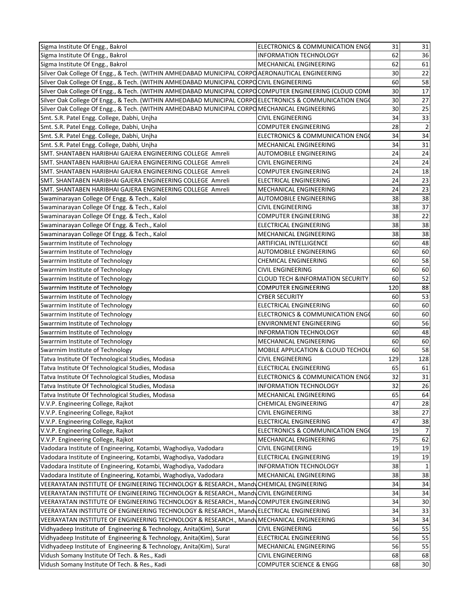| Sigma Institute Of Engg., Bakrol                                                                        | ELECTRONICS & COMMUNICATION ENGO             | 31  | 31             |
|---------------------------------------------------------------------------------------------------------|----------------------------------------------|-----|----------------|
| Sigma Institute Of Engg., Bakrol                                                                        | <b>INFORMATION TECHNOLOGY</b>                | 62  | 36             |
| Sigma Institute Of Engg., Bakrol                                                                        | MECHANICAL ENGINEERING                       | 62  | 61             |
| Silver Oak College Of Engg., & Tech. (WITHIN AMHEDABAD MUNICIPAL CORPO AERONAUTICAL ENGINEERING         |                                              | 30  | 22             |
| Silver Oak College Of Engg., & Tech. (WITHIN AMHEDABAD MUNICIPAL CORPOCIVIL ENGINEERING                 |                                              | 60  | 58             |
| Silver Oak College Of Engg., & Tech. (WITHIN AMHEDABAD MUNICIPAL CORPO COMPUTER ENGINEERING (CLOUD COMI |                                              | 30  | 17             |
| Silver Oak College Of Engg., & Tech. (WITHIN AMHEDABAD MUNICIPAL CORPO ELECTRONICS & COMMUNICATION ENG  |                                              | 30  | 27             |
| Silver Oak College Of Engg., & Tech. (WITHIN AMHEDABAD MUNICIPAL CORPO MECHANICAL ENGINEERING           |                                              | 30  | 25             |
| Smt. S.R. Patel Engg. College, Dabhi, Unjha                                                             | <b>CIVIL ENGINEERING</b>                     | 34  | 33             |
| Smt. S.R. Patel Engg. College, Dabhi, Unjha                                                             | <b>COMPUTER ENGINEERING</b>                  | 28  | $\overline{2}$ |
| Smt. S.R. Patel Engg. College, Dabhi, Unjha                                                             | ELECTRONICS & COMMUNICATION ENG              | 34  | 34             |
| Smt. S.R. Patel Engg. College, Dabhi, Unjha                                                             | MECHANICAL ENGINEERING                       | 34  | 31             |
| SMT. SHANTABEN HARIBHAI GAJERA ENGINEERING COLLEGE Amreli                                               | <b>AUTOMOBILE ENGINEERING</b>                | 24  | 24             |
| SMT. SHANTABEN HARIBHAI GAJERA ENGINEERING COLLEGE Amreli                                               | CIVIL ENGINEERING                            | 24  | 24             |
| SMT. SHANTABEN HARIBHAI GAJERA ENGINEERING COLLEGE Amreli                                               | <b>COMPUTER ENGINEERING</b>                  | 24  | 18             |
| SMT. SHANTABEN HARIBHAI GAJERA ENGINEERING COLLEGE Amreli                                               | <b>ELECTRICAL ENGINEERING</b>                | 24  | 23             |
| SMT. SHANTABEN HARIBHAI GAJERA ENGINEERING COLLEGE Amreli                                               | MECHANICAL ENGINEERING                       | 24  | 23             |
|                                                                                                         | <b>AUTOMOBILE ENGINEERING</b>                | 38  | 38             |
| Swaminarayan College Of Engg. & Tech., Kalol                                                            |                                              | 38  |                |
| Swaminarayan College Of Engg. & Tech., Kalol                                                            | <b>CIVIL ENGINEERING</b>                     | 38  | 37<br>22       |
| Swaminarayan College Of Engg. & Tech., Kalol                                                            | <b>COMPUTER ENGINEERING</b>                  |     |                |
| Swaminarayan College Of Engg. & Tech., Kalol                                                            | <b>ELECTRICAL ENGINEERING</b>                | 38  | 38             |
| Swaminarayan College Of Engg. & Tech., Kalol                                                            | MECHANICAL ENGINEERING                       | 38  | 38             |
| Swarrnim Institute of Technology                                                                        | <b>ARTIFICIAL INTELLIGENCE</b>               | 60  | 48             |
| Swarrnim Institute of Technology                                                                        | AUTOMOBILE ENGINEERING                       | 60  | 60             |
| Swarrnim Institute of Technology                                                                        | CHEMICAL ENGINEERING                         | 60  | 58             |
| Swarrnim Institute of Technology                                                                        | <b>CIVIL ENGINEERING</b>                     | 60  | 60             |
| Swarrnim Institute of Technology                                                                        | <b>CLOUD TECH &amp;INFORMATION SECURITY</b>  | 60  | 52             |
| Swarrnim Institute of Technology                                                                        | <b>COMPUTER ENGINEERING</b>                  | 120 | 88             |
| Swarrnim Institute of Technology                                                                        | <b>CYBER SECURITY</b>                        | 60  | 53             |
| Swarrnim Institute of Technology                                                                        | ELECTRICAL ENGINEERING                       | 60  | 60             |
| Swarrnim Institute of Technology                                                                        | ELECTRONICS & COMMUNICATION ENGO             | 60  | 60             |
| Swarrnim Institute of Technology                                                                        | <b>ENVIRONMENT ENGINEERING</b>               | 60  | 56             |
| Swarrnim Institute of Technology                                                                        | <b>INFORMATION TECHNOLOGY</b>                | 60  | 48             |
| Swarrnim Institute of Technology                                                                        | MECHANICAL ENGINEERING                       | 60  | 60             |
| Swarrnim Institute of Technology                                                                        | <b>MOBILE APPLICATION &amp; CLOUD TECHOL</b> | 60  | 58             |
| Tatva Institute Of Technological Studies, Modasa                                                        | <b>CIVIL ENGINEERING</b>                     | 129 | 128            |
| Tatva Institute Of Technological Studies, Modasa                                                        | ELECTRICAL ENGINEERING                       | 65  | 61             |
| Tatva Institute Of Technological Studies, Modasa                                                        | <b>ELECTRONICS &amp; COMMUNICATION ENGO</b>  | 32  | 31             |
| Tatva Institute Of Technological Studies, Modasa                                                        | <b>INFORMATION TECHNOLOGY</b>                | 32  | 26             |
| Tatva Institute Of Technological Studies, Modasa                                                        | MECHANICAL ENGINEERING                       | 65  | 64             |
| V.V.P. Engineering College, Rajkot                                                                      | <b>CHEMICAL ENGINEERING</b>                  | 47  | 28             |
| V.V.P. Engineering College, Rajkot                                                                      | <b>CIVIL ENGINEERING</b>                     | 38  | 27             |
| V.V.P. Engineering College, Rajkot                                                                      | <b>ELECTRICAL ENGINEERING</b>                | 47  | 38             |
| V.V.P. Engineering College, Rajkot                                                                      | ELECTRONICS & COMMUNICATION ENGO             | 19  | 7              |
| V.V.P. Engineering College, Rajkot                                                                      | MECHANICAL ENGINEERING                       | 75  | 62             |
| Vadodara Institute of Engineering, Kotambi, Waghodiya, Vadodara                                         | <b>CIVIL ENGINEERING</b>                     | 19  | 19             |
| Vadodara Institute of Engineering, Kotambi, Waghodiya, Vadodara                                         | ELECTRICAL ENGINEERING                       | 19  | 19             |
| Vadodara Institute of Engineering, Kotambi, Waghodiya, Vadodara                                         | <b>INFORMATION TECHNOLOGY</b>                | 38  | 1              |
| Vadodara Institute of Engineering, Kotambi, Waghodiya, Vadodara                                         | MECHANICAL ENGINEERING                       | 38  | 38             |
| VEERAYATAN INSTITUTE OF ENGINEERING TECHNOLOGY & RESEARCH., MandyCHEMICAL ENGINEERING                   |                                              | 34  | 34             |
| VEERAYATAN INSTITUTE OF ENGINEERING TECHNOLOGY & RESEARCH., MandyCIVIL ENGINEERING                      |                                              | 34  | 34             |
| VEERAYATAN INSTITUTE OF ENGINEERING TECHNOLOGY & RESEARCH., MandyCOMPUTER ENGINEERING                   |                                              | 34  | 30             |
| VEERAYATAN INSTITUTE OF ENGINEERING TECHNOLOGY & RESEARCH., MandyELECTRICAL ENGINEERING                 |                                              | 34  | 33             |
| VEERAYATAN INSTITUTE OF ENGINEERING TECHNOLOGY & RESEARCH., Mandy MECHANICAL ENGINEERING                |                                              | 34  | 34             |
| Vidhyadeep Institute of Engineering & Technology, Anita(Kim), Surat                                     | <b>CIVIL ENGINEERING</b>                     | 56  | 55             |
| Vidhyadeep Institute of Engineering & Technology, Anita(Kim), Surat                                     | <b>ELECTRICAL ENGINEERING</b>                | 56  | 55             |
| Vidhyadeep Institute of Engineering & Technology, Anita(Kim), Surat                                     | MECHANICAL ENGINEERING                       | 56  | 55             |
| Vidush Somany Institute Of Tech. & Res., Kadi                                                           | <b>CIVIL ENGINEERING</b>                     | 68  | 68             |
| Vidush Somany Institute Of Tech. & Res., Kadi                                                           | <b>COMPUTER SCIENCE &amp; ENGG</b>           | 68  | $30\,$         |